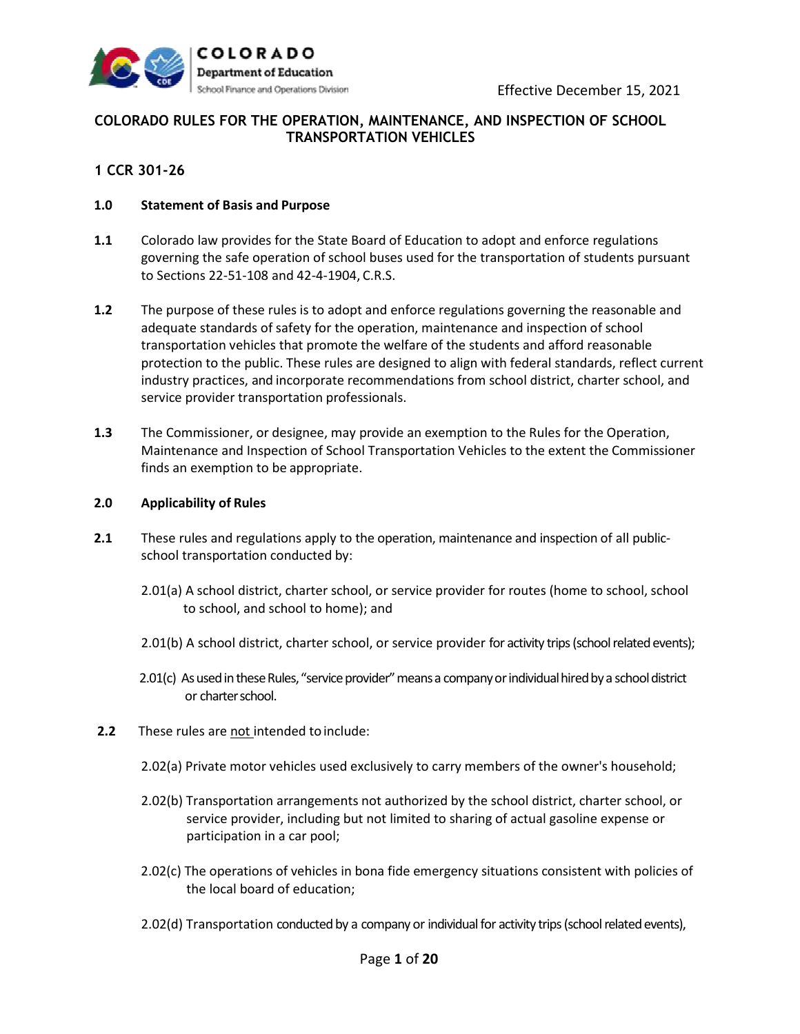

# **COLORADO RULES FOR THE OPERATION, MAINTENANCE, AND INSPECTION OF SCHOOL TRANSPORTATION VEHICLES**

## **1 CCR 301-26**

## **1.0 Statement of Basis and Purpose**

- **1.1** Colorado law provides for the State Board of Education to adopt and enforce regulations governing the safe operation of school buses used for the transportation of students pursuant to Sections 22-51-108 and 42-4-1904, C.R.S.
- **1.2** The purpose of these rules is to adopt and enforce regulations governing the reasonable and adequate standards of safety for the operation, maintenance and inspection of school transportation vehicles that promote the welfare of the students and afford reasonable protection to the public. These rules are designed to align with federal standards, reflect current industry practices, and incorporate recommendations from school district, charter school, and service provider transportation professionals.
- **1.3** The Commissioner, or designee, may provide an exemption to the Rules for the Operation, Maintenance and Inspection of School Transportation Vehicles to the extent the Commissioner finds an exemption to be appropriate.

## **2.0 Applicability of Rules**

- **2.1** These rules and regulations apply to the operation, maintenance and inspection of all publicschool transportation conducted by:
	- 2.01(a) A school district, charter school, or service provider for routes (home to school, school to school, and school to home); and
	- 2.01(b) A school district, charter school, or service provider for activity trips (school related events);
	- 2.01(c) As used in these Rules, "service provider" means a company or individual hired by a school district or charter school.
- **2.2** These rules are not intended to include:
	- 2.02(a) Private motor vehicles used exclusively to carry members of the owner's household;
	- 2.02(b) Transportation arrangements not authorized by the school district, charter school, or service provider, including but not limited to sharing of actual gasoline expense or participation in a car pool;
	- 2.02(c) The operations of vehicles in bona fide emergency situations consistent with policies of the local board of education;
	- 2.02(d) Transportation conducted by a company or individual for activity trips (school related events),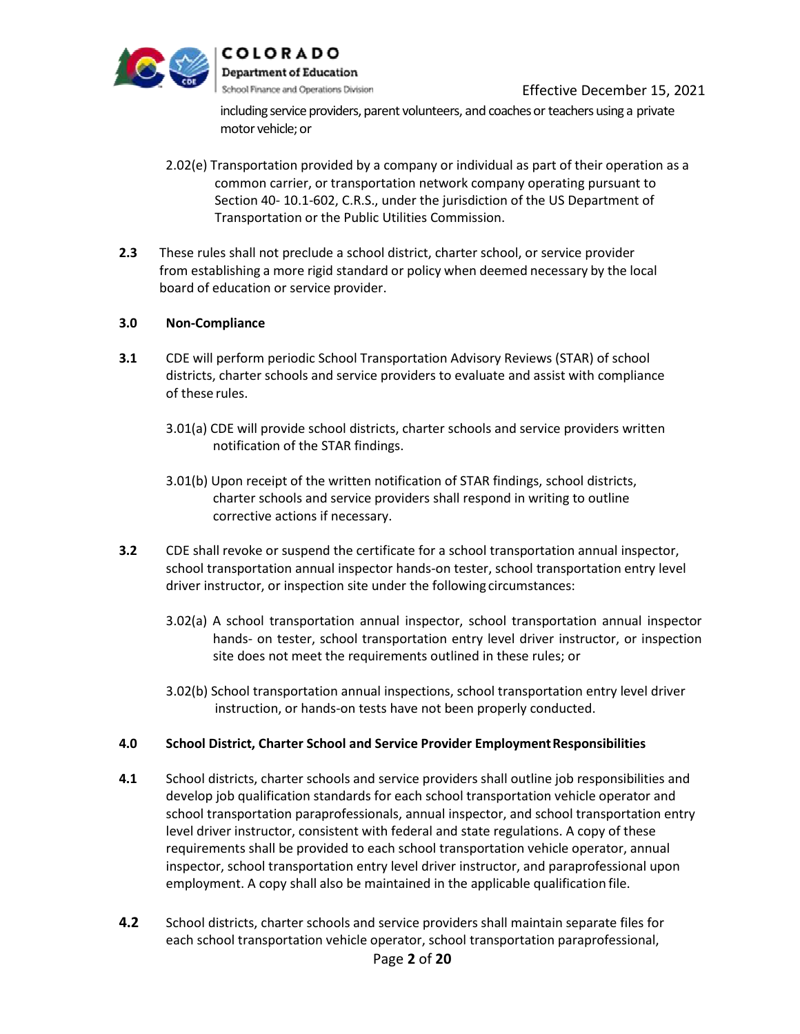

including service providers, parent volunteers, and coaches or teachers using a private motor vehicle; or

- 2.02(e) Transportation provided by a company or individual as part of their operation as a common carrier, or transportation network company operating pursuant to Section 40- 10.1-602, C.R.S., under the jurisdiction of the US Department of Transportation or the Public Utilities Commission.
- **2.3** These rules shall not preclude a school district, charter school, or service provider from establishing a more rigid standard or policy when deemed necessary by the local board of education or service provider.

## **3.0 Non-Compliance**

- **3.1** CDE will perform periodic School Transportation Advisory Reviews (STAR) of school districts, charter schools and service providers to evaluate and assist with compliance of these rules.
	- 3.01(a) CDE will provide school districts, charter schools and service providers written notification of the STAR findings.
	- 3.01(b) Upon receipt of the written notification of STAR findings, school districts, charter schools and service providers shall respond in writing to outline corrective actions if necessary.
- **3.2** CDE shall revoke or suspend the certificate for a school transportation annual inspector, school transportation annual inspector hands-on tester, school transportation entry level driver instructor, or inspection site under the following circumstances:
	- 3.02(a) A school transportation annual inspector, school transportation annual inspector hands- on tester, school transportation entry level driver instructor, or inspection site does not meet the requirements outlined in these rules; or
	- 3.02(b) School transportation annual inspections, school transportation entry level driver instruction, or hands-on tests have not been properly conducted.

## **4.0 School District, Charter School and Service Provider EmploymentResponsibilities**

- **4.1** School districts, charter schools and service providers shall outline job responsibilities and develop job qualification standards for each school transportation vehicle operator and school transportation paraprofessionals, annual inspector, and school transportation entry level driver instructor, consistent with federal and state regulations. A copy of these requirements shall be provided to each school transportation vehicle operator, annual inspector, school transportation entry level driver instructor, and paraprofessional upon employment. A copy shall also be maintained in the applicable qualification file.
- Page **2** of **20 4.2** School districts, charter schools and service providers shall maintain separate files for each school transportation vehicle operator, school transportation paraprofessional,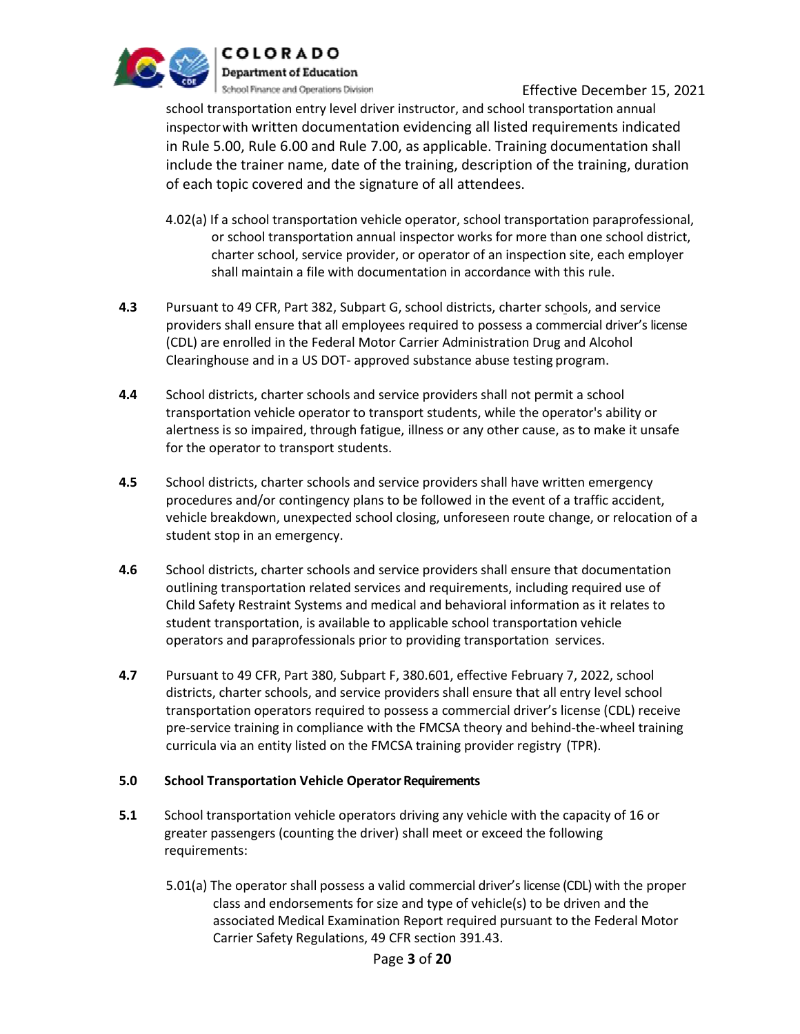

school transportation entry level driver instructor, and school transportation annual inspectorwith written documentation evidencing all listed requirements indicated in Rule 5.00, Rule 6.00 and Rule 7.00, as applicable. Training documentation shall include the trainer name, date of the training, description of the training, duration of each topic covered and the signature of all attendees.

- 4.02(a) If a school transportation vehicle operator, school transportation paraprofessional, or school transportation annual inspector works for more than one school district, charter school, service provider, or operator of an inspection site, each employer shall maintain a file with documentation in accordance with this rule.
- **4.3** Pursuant to 49 CFR, Part 382, Subpart G, school districts, charter schools, and service providers shall ensure that all employees required to possess a commercial driver's license (CDL) are enrolled in the Federal Motor Carrier Administration Drug and Alcohol Clearinghouse and in a US DOT- approved substance abuse testing program.
- **4.4** School districts, charter schools and service providers shall not permit a school transportation vehicle operator to transport students, while the operator's ability or alertness is so impaired, through fatigue, illness or any other cause, as to make it unsafe for the operator to transport students.
- **4.5** School districts, charter schools and service providers shall have written emergency procedures and/or contingency plans to be followed in the event of a traffic accident, vehicle breakdown, unexpected school closing, unforeseen route change, or relocation of a student stop in an emergency.
- **4.6** School districts, charter schools and service providers shall ensure that documentation outlining transportation related services and requirements, including required use of Child Safety Restraint Systems and medical and behavioral information as it relates to student transportation, is available to applicable school transportation vehicle operators and paraprofessionals prior to providing transportation services.
- **4.7** Pursuant to 49 CFR, Part 380, Subpart F, 380.601, effective February 7, 2022, school districts, charter schools, and service providers shall ensure that all entry level school transportation operators required to possess a commercial driver's license (CDL) receive pre-service training in compliance with the FMCSA theory and behind-the-wheel training curricula via an entity listed on the FMCSA training provider registry (TPR).

## **5.0 School Transportation Vehicle Operator Requirements**

- **5.1** School transportation vehicle operators driving any vehicle with the capacity of 16 or greater passengers (counting the driver) shall meet or exceed the following requirements:
	- 5.01(a) The operator shall possess a valid commercial driver's license (CDL) with the proper class and endorsements for size and type of vehicle(s) to be driven and the associated Medical Examination Report required pursuant to the Federal Motor Carrier Safety Regulations, 49 CFR section 391.43.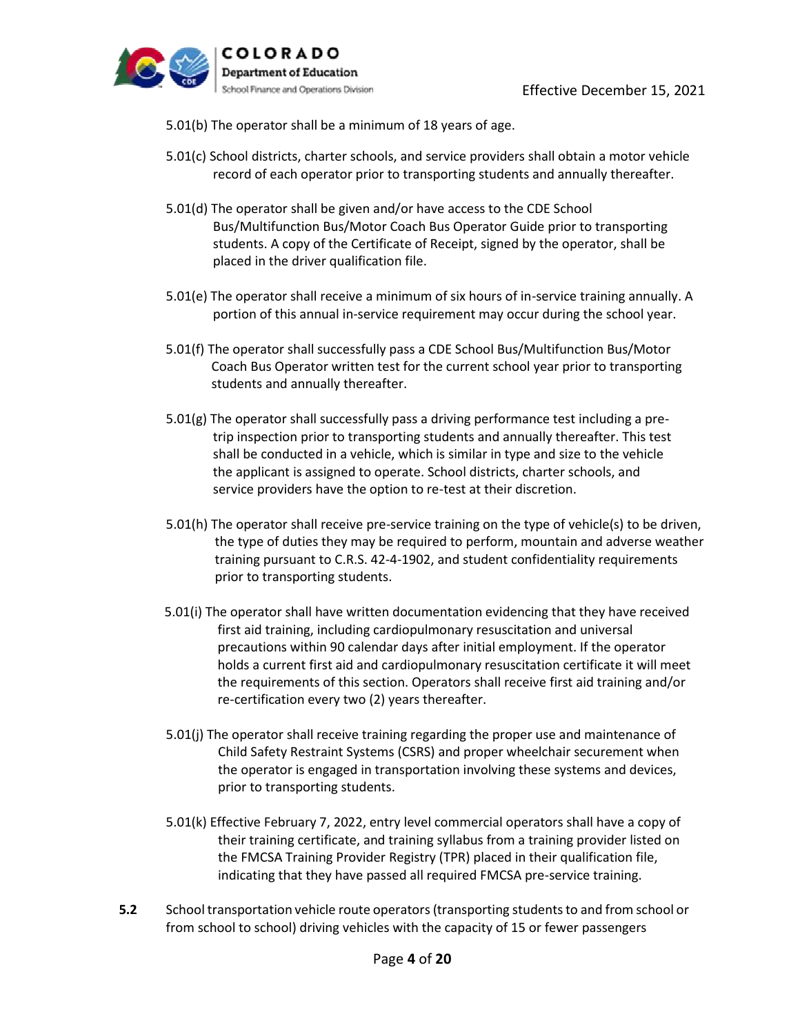

5.01(b) The operator shall be a minimum of 18 years of age.

- 5.01(c) School districts, charter schools, and service providers shall obtain a motor vehicle record of each operator prior to transporting students and annually thereafter.
- 5.01(d) The operator shall be given and/or have access to the CDE School Bus/Multifunction Bus/Motor Coach Bus Operator Guide prior to transporting students. A copy of the Certificate of Receipt, signed by the operator, shall be placed in the driver qualification file.
- 5.01(e) The operator shall receive a minimum of six hours of in-service training annually. A portion of this annual in-service requirement may occur during the school year.
- 5.01(f) The operator shall successfully pass a CDE School Bus/Multifunction Bus/Motor Coach Bus Operator written test for the current school year prior to transporting students and annually thereafter.
- $5.01(g)$  The operator shall successfully pass a driving performance test including a pretrip inspection prior to transporting students and annually thereafter. This test shall be conducted in a vehicle, which is similar in type and size to the vehicle the applicant is assigned to operate. School districts, charter schools, and service providers have the option to re-test at their discretion.
- 5.01(h) The operator shall receive pre-service training on the type of vehicle(s) to be driven, the type of duties they may be required to perform, mountain and adverse weather training pursuant to C.R.S. 42-4-1902, and student confidentiality requirements prior to transporting students.
- 5.01(i) The operator shall have written documentation evidencing that they have received first aid training, including cardiopulmonary resuscitation and universal precautions within 90 calendar days after initial employment. If the operator holds a current first aid and cardiopulmonary resuscitation certificate it will meet the requirements of this section. Operators shall receive first aid training and/or re-certification every two (2) years thereafter.
- 5.01(j) The operator shall receive training regarding the proper use and maintenance of Child Safety Restraint Systems (CSRS) and proper wheelchair securement when the operator is engaged in transportation involving these systems and devices, prior to transporting students.
- 5.01(k) Effective February 7, 2022, entry level commercial operators shall have a copy of their training certificate, and training syllabus from a training provider listed on the FMCSA Training Provider Registry (TPR) placed in their qualification file, indicating that they have passed all required FMCSA pre-service training.
- **5.2** School transportation vehicle route operators (transporting students to and from school or from school to school) driving vehicles with the capacity of 15 or fewer passengers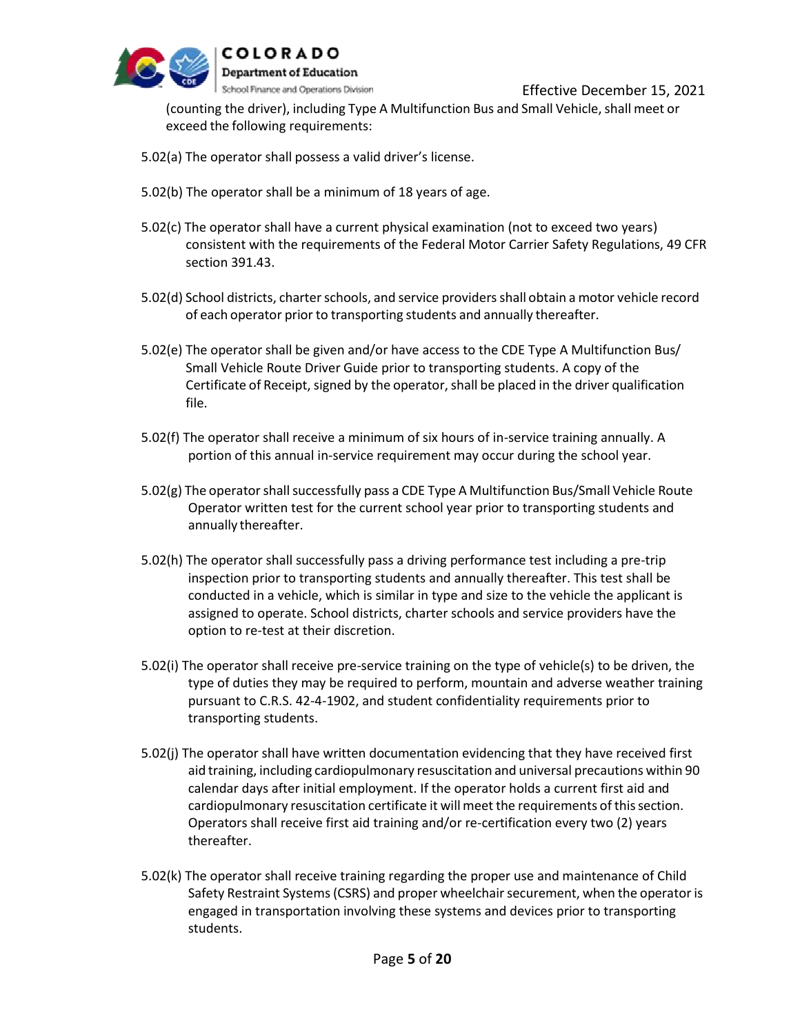

(counting the driver), including Type A Multifunction Bus and Small Vehicle, shall meet or exceed the following requirements:

- 5.02(a) The operator shall possess a valid driver's license.
- 5.02(b) The operator shall be a minimum of 18 years of age.
- 5.02(c) The operator shall have a current physical examination (not to exceed two years) consistent with the requirements of the Federal Motor Carrier Safety Regulations, 49 CFR section 391.43.
- 5.02(d) School districts, charter schools, and service providers shall obtain a motor vehicle record of each operator prior to transporting students and annually thereafter.
- 5.02(e) The operator shall be given and/or have access to the CDE Type A Multifunction Bus/ Small Vehicle Route Driver Guide prior to transporting students. A copy of the Certificate of Receipt, signed by the operator, shall be placed in the driver qualification file.
- 5.02(f) The operator shall receive a minimum of six hours of in-service training annually. A portion of this annual in-service requirement may occur during the school year.
- 5.02(g) The operator shall successfully pass a CDE Type A Multifunction Bus/Small Vehicle Route Operator written test for the current school year prior to transporting students and annually thereafter.
- 5.02(h) The operator shall successfully pass a driving performance test including a pre-trip inspection prior to transporting students and annually thereafter. This test shall be conducted in a vehicle, which is similar in type and size to the vehicle the applicant is assigned to operate. School districts, charter schools and service providers have the option to re-test at their discretion.
- 5.02(i) The operator shall receive pre-service training on the type of vehicle(s) to be driven, the type of duties they may be required to perform, mountain and adverse weather training pursuant to C.R.S. 42-4-1902, and student confidentiality requirements prior to transporting students.
- 5.02(j) The operator shall have written documentation evidencing that they have received first aid training, including cardiopulmonary resuscitation and universal precautions within 90 calendar days after initial employment. If the operator holds a current first aid and cardiopulmonary resuscitation certificate it will meet the requirements of this section. Operators shall receive first aid training and/or re-certification every two (2) years thereafter.
- 5.02(k) The operator shall receive training regarding the proper use and maintenance of Child Safety Restraint Systems (CSRS) and proper wheelchair securement, when the operator is engaged in transportation involving these systems and devices prior to transporting students.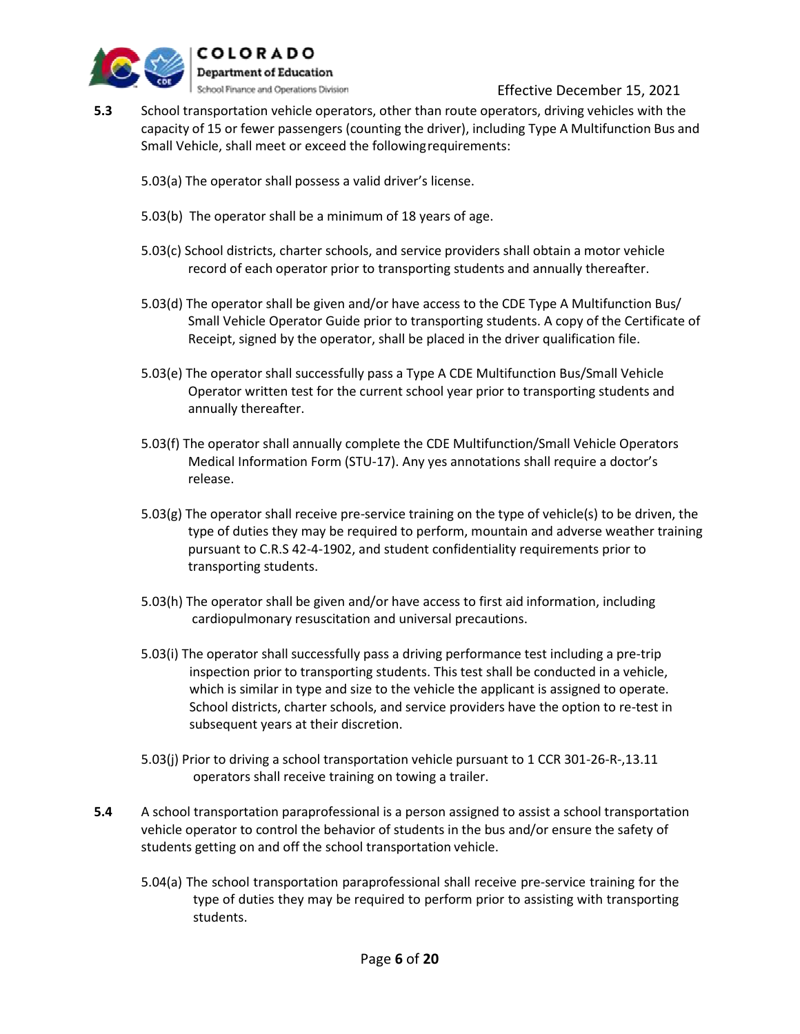

- **5.3** School transportation vehicle operators, other than route operators, driving vehicles with the capacity of 15 or fewer passengers (counting the driver), including Type A Multifunction Bus and Small Vehicle, shall meet or exceed the followingrequirements:
	- 5.03(a) The operator shall possess a valid driver's license.
	- 5.03(b) The operator shall be a minimum of 18 years of age.
	- 5.03(c) School districts, charter schools, and service providers shall obtain a motor vehicle record of each operator prior to transporting students and annually thereafter.
	- 5.03(d) The operator shall be given and/or have access to the CDE Type A Multifunction Bus/ Small Vehicle Operator Guide prior to transporting students. A copy of the Certificate of Receipt, signed by the operator, shall be placed in the driver qualification file.
	- 5.03(e) The operator shall successfully pass a Type A CDE Multifunction Bus/Small Vehicle Operator written test for the current school year prior to transporting students and annually thereafter.
	- 5.03(f) The operator shall annually complete the CDE Multifunction/Small Vehicle Operators Medical Information Form (STU-17). Any yes annotations shall require a doctor's release.
	- 5.03(g) The operator shall receive pre-service training on the type of vehicle(s) to be driven, the type of duties they may be required to perform, mountain and adverse weather training pursuant to C.R.S 42-4-1902, and student confidentiality requirements prior to transporting students.
	- 5.03(h) The operator shall be given and/or have access to first aid information, including cardiopulmonary resuscitation and universal precautions.
	- 5.03(i) The operator shall successfully pass a driving performance test including a pre-trip inspection prior to transporting students. This test shall be conducted in a vehicle, which is similar in type and size to the vehicle the applicant is assigned to operate. School districts, charter schools, and service providers have the option to re-test in subsequent years at their discretion.
	- 5.03(j) Prior to driving a school transportation vehicle pursuant to 1 CCR 301-26-R-,13.11 operators shall receive training on towing a trailer.
- **5.4** A school transportation paraprofessional is a person assigned to assist a school transportation vehicle operator to control the behavior of students in the bus and/or ensure the safety of students getting on and off the school transportation vehicle.
	- 5.04(a) The school transportation paraprofessional shall receive pre-service training for the type of duties they may be required to perform prior to assisting with transporting students.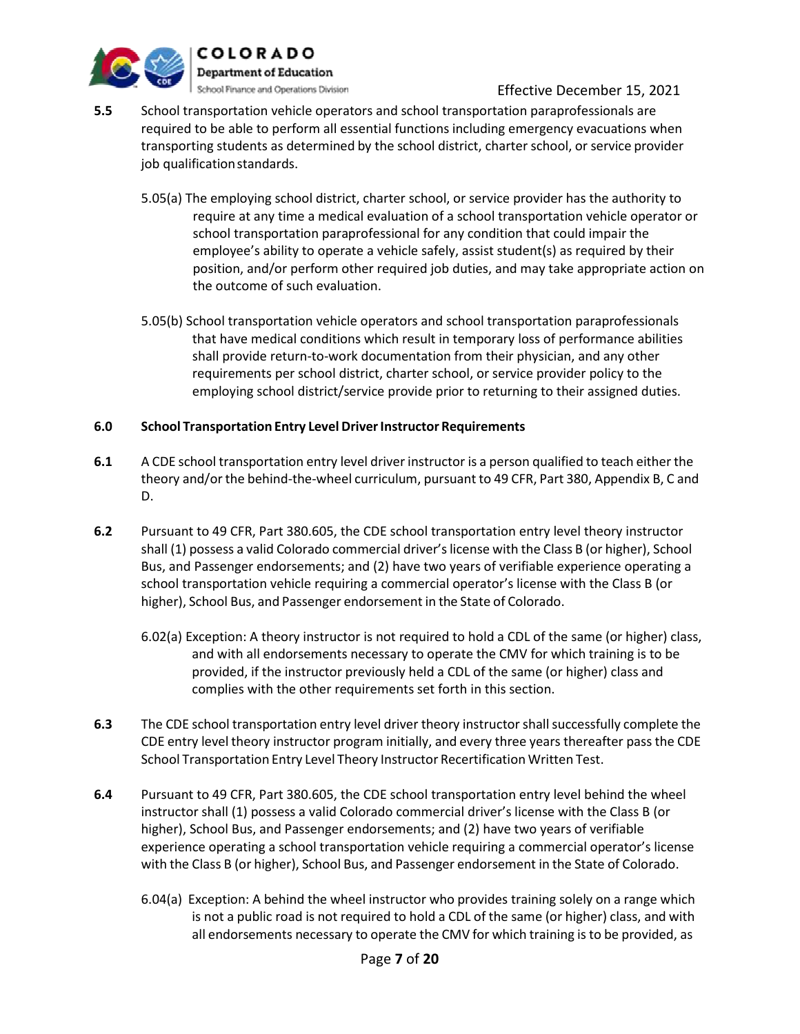

- **5.5** School transportation vehicle operators and school transportation paraprofessionals are required to be able to perform all essential functions including emergency evacuations when transporting students as determined by the school district, charter school, or service provider job qualification standards.
	- 5.05(a) The employing school district, charter school, or service provider has the authority to require at any time a medical evaluation of a school transportation vehicle operator or school transportation paraprofessional for any condition that could impair the employee's ability to operate a vehicle safely, assist student(s) as required by their position, and/or perform other required job duties, and may take appropriate action on the outcome of such evaluation.
	- 5.05(b) School transportation vehicle operators and school transportation paraprofessionals that have medical conditions which result in temporary loss of performance abilities shall provide return-to-work documentation from their physician, and any other requirements per school district, charter school, or service provider policy to the employing school district/service provide prior to returning to their assigned duties.

## **6.0 School Transportation Entry LevelDriverInstructor Requirements**

- **6.1** A CDE school transportation entry level driver instructor is a person qualified to teach either the theory and/or the behind-the-wheel curriculum, pursuant to 49 CFR, Part 380, Appendix B, C and D.
- **6.2** Pursuant to 49 CFR, Part 380.605, the CDE school transportation entry level theory instructor shall (1) possess a valid Colorado commercial driver's license with the Class B (or higher), School Bus, and Passenger endorsements; and (2) have two years of verifiable experience operating a school transportation vehicle requiring a commercial operator's license with the Class B (or higher), School Bus, and Passenger endorsement in the State of Colorado.
	- 6.02(a) Exception: A theory instructor is not required to hold a CDL of the same (or higher) class, and with all endorsements necessary to operate the CMV for which training is to be provided, if the instructor previously held a CDL of the same (or higher) class and complies with the other requirements set forth in this section.
- **6.3** The CDE school transportation entry level driver theory instructorshallsuccessfully complete the CDE entry level theory instructor program initially, and every three years thereafter pass the CDE School Transportation Entry Level Theory Instructor Recertification Written Test.
- **6.4** Pursuant to 49 CFR, Part 380.605, the CDE school transportation entry level behind the wheel instructor shall (1) possess a valid Colorado commercial driver's license with the Class B (or higher), School Bus, and Passenger endorsements; and (2) have two years of verifiable experience operating a school transportation vehicle requiring a commercial operator's license with the Class B (or higher), School Bus, and Passenger endorsement in the State of Colorado.
	- 6.04(a) Exception: A behind the wheel instructor who provides training solely on a range which is not a public road is not required to hold a CDL of the same (or higher) class, and with all endorsements necessary to operate the CMV for which training is to be provided, as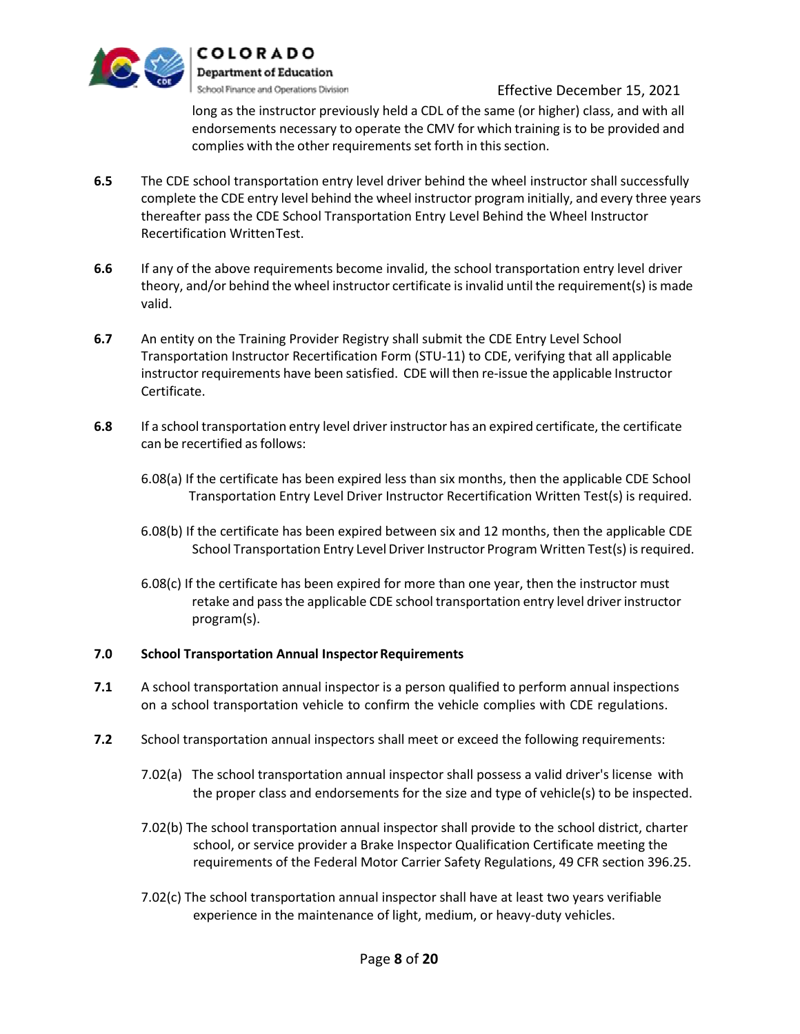

long as the instructor previously held a CDL of the same (or higher) class, and with all endorsements necessary to operate the CMV for which training is to be provided and complies with the other requirements set forth in this section.

- **6.5** The CDE school transportation entry level driver behind the wheel instructor shall successfully complete the CDE entry level behind the wheel instructor program initially, and every three years thereafter pass the CDE School Transportation Entry Level Behind the Wheel Instructor Recertification WrittenTest.
- **6.6** If any of the above requirements become invalid, the school transportation entry level driver theory, and/or behind the wheel instructor certificate isinvalid until the requirement(s) is made valid.
- **6.7** An entity on the Training Provider Registry shall submit the CDE Entry Level School Transportation Instructor Recertification Form (STU-11) to CDE, verifying that all applicable instructor requirements have been satisfied. CDE will then re-issue the applicable Instructor Certificate.
- **6.8** If a school transportation entry level driver instructor has an expired certificate, the certificate can be recertified as follows:
	- 6.08(a) If the certificate has been expired less than six months, then the applicable CDE School Transportation Entry Level Driver Instructor Recertification Written Test(s) is required.
	- 6.08(b) If the certificate has been expired between six and 12 months, then the applicable CDE School Transportation Entry Level Driver Instructor Program Written Test(s) isrequired.
	- 6.08(c) If the certificate has been expired for more than one year, then the instructor must retake and passthe applicable CDE school transportation entry level driver instructor program(s).

## **7.0 School Transportation Annual InspectorRequirements**

- **7.1** A school transportation annual inspector is a person qualified to perform annual inspections on a school transportation vehicle to confirm the vehicle complies with CDE regulations.
- **7.2** School transportation annual inspectors shall meet or exceed the following requirements:
	- 7.02(a) The school transportation annual inspector shall possess a valid driver's license with the proper class and endorsements for the size and type of vehicle(s) to be inspected.
	- 7.02(b) The school transportation annual inspector shall provide to the school district, charter school, or service provider a Brake Inspector Qualification Certificate meeting the requirements of the Federal Motor Carrier Safety Regulations, 49 CFR section 396.25.
	- 7.02(c) The school transportation annual inspector shall have at least two years verifiable experience in the maintenance of light, medium, or heavy-duty vehicles.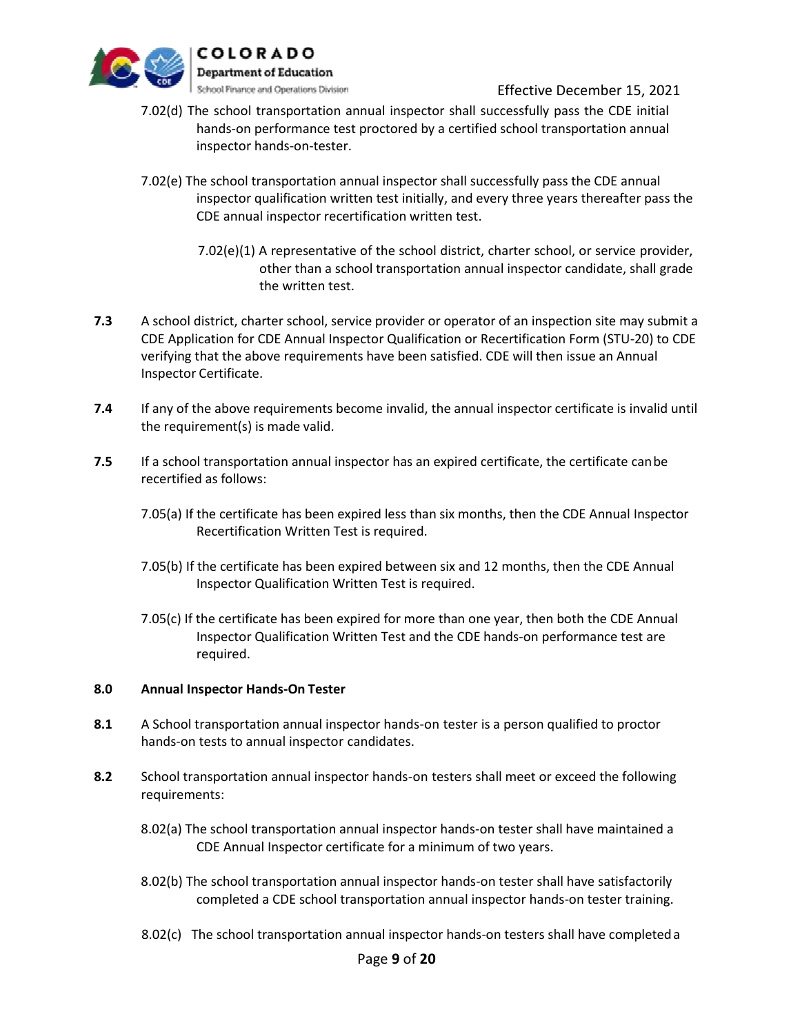

- 7.02(d) The school transportation annual inspector shall successfully pass the CDE initial hands-on performance test proctored by a certified school transportation annual inspector hands-on-tester.
- 7.02(e) The school transportation annual inspector shall successfully pass the CDE annual inspector qualification written test initially, and every three years thereafter pass the CDE annual inspector recertification written test.
	- 7.02(e)(1) A representative of the school district, charter school, or service provider, other than a school transportation annual inspector candidate, shall grade the written test.
- **7.3** A school district, charter school, service provider or operator of an inspection site may submit a CDE Application for CDE Annual Inspector Qualification or Recertification Form (STU-20) to CDE verifying that the above requirements have been satisfied. CDE will then issue an Annual Inspector Certificate.
- **7.4** If any of the above requirements become invalid, the annual inspector certificate is invalid until the requirement(s) is made valid.
- **7.5** If a school transportation annual inspector has an expired certificate, the certificate can be recertified as follows:
	- 7.05(a) If the certificate has been expired less than six months, then the CDE Annual Inspector Recertification Written Test is required.
	- 7.05(b) If the certificate has been expired between six and 12 months, then the CDE Annual Inspector Qualification Written Test is required.
	- 7.05(c) If the certificate has been expired for more than one year, then both the CDE Annual Inspector Qualification Written Test and the CDE hands-on performance test are required.

## **8.0 Annual Inspector Hands-On Tester**

- **8.1** A School transportation annual inspector hands-on tester is a person qualified to proctor hands-on tests to annual inspector candidates.
- **8.2** School transportation annual inspector hands-on testers shall meet or exceed the following requirements:
	- 8.02(a) The school transportation annual inspector hands-on tester shall have maintained a CDE Annual Inspector certificate for a minimum of two years.
	- 8.02(b) The school transportation annual inspector hands-on tester shall have satisfactorily completed a CDE school transportation annual inspector hands-on tester training.
	- 8.02(c) The school transportation annual inspector hands-on testers shall have completeda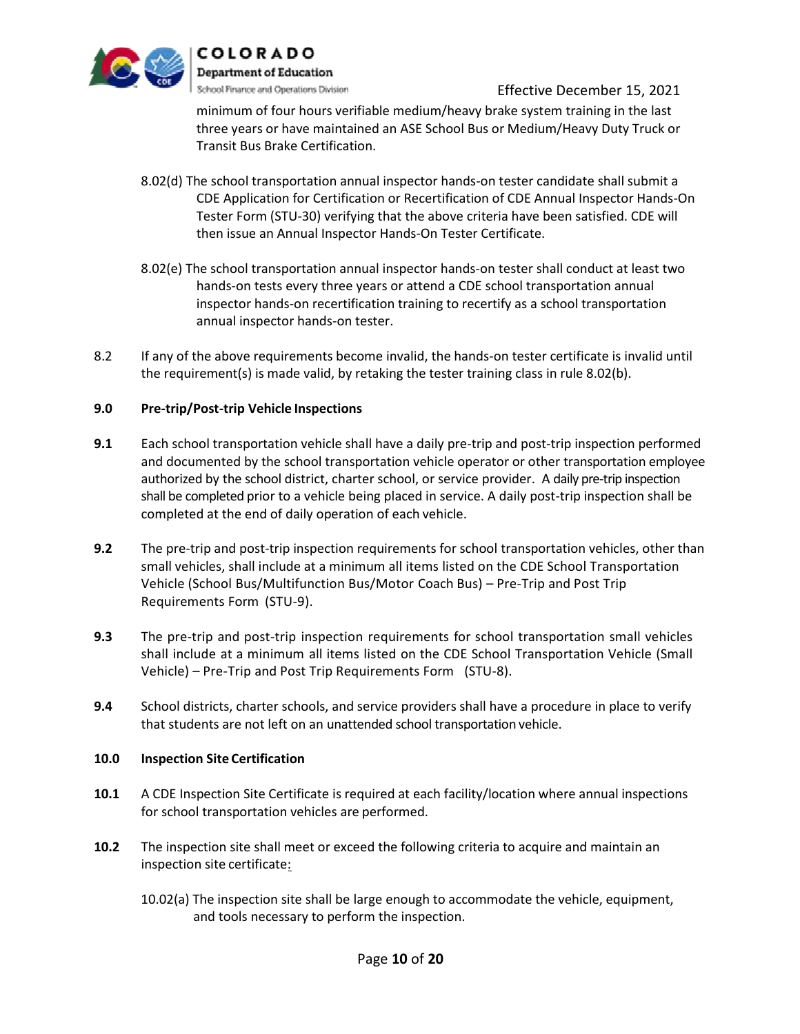

minimum of four hours verifiable medium/heavy brake system training in the last three years or have maintained an ASE School Bus or Medium/Heavy Duty Truck or Transit Bus Brake Certification.

- 8.02(d) The school transportation annual inspector hands-on tester candidate shall submit a CDE Application for Certification or Recertification of CDE Annual Inspector Hands-On Tester Form (STU-30) verifying that the above criteria have been satisfied. CDE will then issue an Annual Inspector Hands-On Tester Certificate.
- 8.02(e) The school transportation annual inspector hands-on tester shall conduct at least two hands-on tests every three years or attend a CDE school transportation annual inspector hands-on recertification training to recertify as a school transportation annual inspector hands-on tester.
- 8.2 If any of the above requirements become invalid, the hands-on tester certificate is invalid until the requirement(s) is made valid, by retaking the tester training class in rule 8.02(b).

## **9.0 Pre-trip/Post-trip Vehicle Inspections**

- **9.1** Each school transportation vehicle shall have a daily pre-trip and post-trip inspection performed and documented by the school transportation vehicle operator or other transportation employee authorized by the school district, charter school, or service provider. A daily pre-trip inspection shall be completed prior to a vehicle being placed in service. A daily post-trip inspection shall be completed at the end of daily operation of each vehicle.
- **9.2** The pre-trip and post-trip inspection requirements for school transportation vehicles, other than small vehicles, shall include at a minimum all items listed on the CDE School Transportation Vehicle (School Bus/Multifunction Bus/Motor Coach Bus) – Pre-Trip and Post Trip Requirements Form (STU-9).
- **9.3** The pre-trip and post-trip inspection requirements for school transportation small vehicles shall include at a minimum all items listed on the CDE School Transportation Vehicle (Small Vehicle) – Pre-Trip and Post Trip Requirements Form (STU-8).
- **9.4** School districts, charter schools, and service providers shall have a procedure in place to verify that students are not left on an unattended school transportation vehicle.

## **10.0 Inspection Site Certification**

- **10.1** A CDE Inspection Site Certificate is required at each facility/location where annual inspections for school transportation vehicles are performed.
- **10.2** The inspection site shall meet or exceed the following criteria to acquire and maintain an inspection site certificate:
	- 10.02(a) The inspection site shall be large enough to accommodate the vehicle, equipment, and tools necessary to perform the inspection.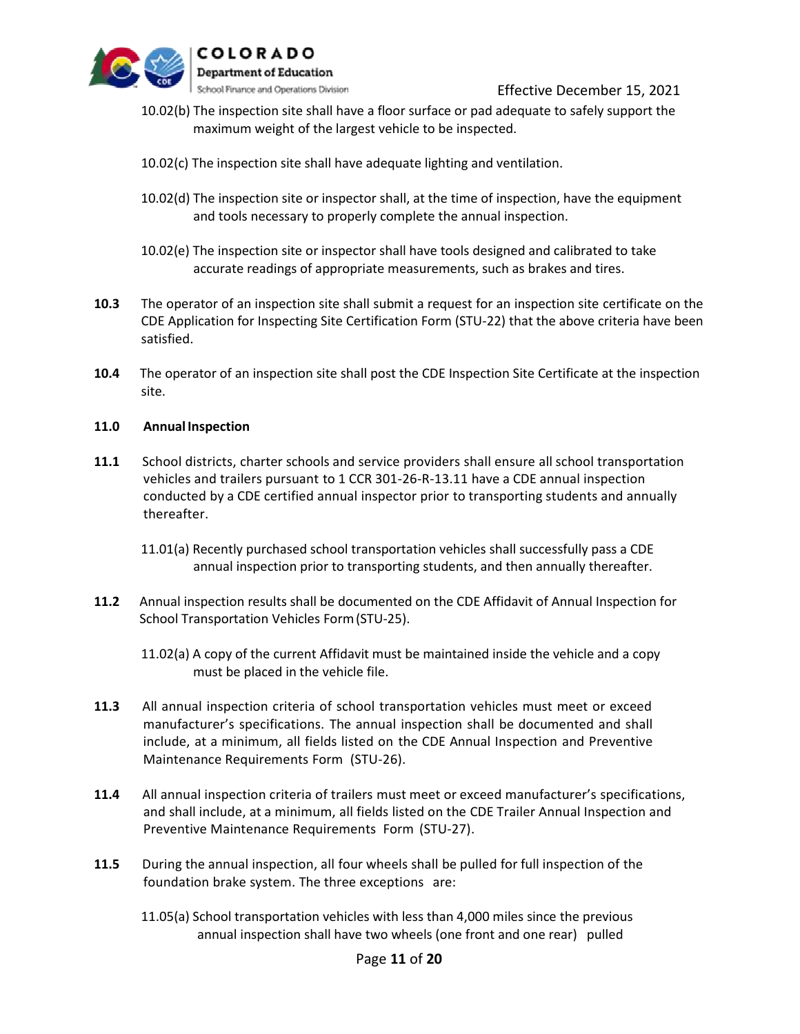

- 10.02(b) The inspection site shall have a floor surface or pad adequate to safely support the maximum weight of the largest vehicle to be inspected.
- 10.02(c) The inspection site shall have adequate lighting and ventilation.
- 10.02(d) The inspection site or inspector shall, at the time of inspection, have the equipment and tools necessary to properly complete the annual inspection.
- 10.02(e) The inspection site or inspector shall have tools designed and calibrated to take accurate readings of appropriate measurements, such as brakes and tires.
- **10.3** The operator of an inspection site shall submit a request for an inspection site certificate on the CDE Application for Inspecting Site Certification Form (STU-22) that the above criteria have been satisfied.
- **10.4** The operator of an inspection site shall post the CDE Inspection Site Certificate at the inspection site.

#### **11.0 Annual Inspection**

- **11.1** School districts, charter schools and service providers shall ensure all school transportation vehicles and trailers pursuant to 1 CCR 301-26-R-13.11 have a CDE annual inspection conducted by a CDE certified annual inspector prior to transporting students and annually thereafter.
	- 11.01(a) Recently purchased school transportation vehicles shall successfully pass a CDE annual inspection prior to transporting students, and then annually thereafter.
- **11.2** Annual inspection results shall be documented on the CDE Affidavit of Annual Inspection for School Transportation Vehicles Form(STU-25).
	- 11.02(a) A copy of the current Affidavit must be maintained inside the vehicle and a copy must be placed in the vehicle file.
- **11.3** All annual inspection criteria of school transportation vehicles must meet or exceed manufacturer's specifications. The annual inspection shall be documented and shall include, at a minimum, all fields listed on the CDE Annual Inspection and Preventive Maintenance Requirements Form (STU-26).
- **11.4** All annual inspection criteria of trailers must meet or exceed manufacturer's specifications, and shall include, at a minimum, all fields listed on the CDE Trailer Annual Inspection and Preventive Maintenance Requirements Form (STU-27).
- **11.5** During the annual inspection, all four wheels shall be pulled for full inspection of the foundation brake system. The three exceptions are:
	- 11.05(a) School transportation vehicles with less than 4,000 miles since the previous annual inspection shall have two wheels (one front and one rear) pulled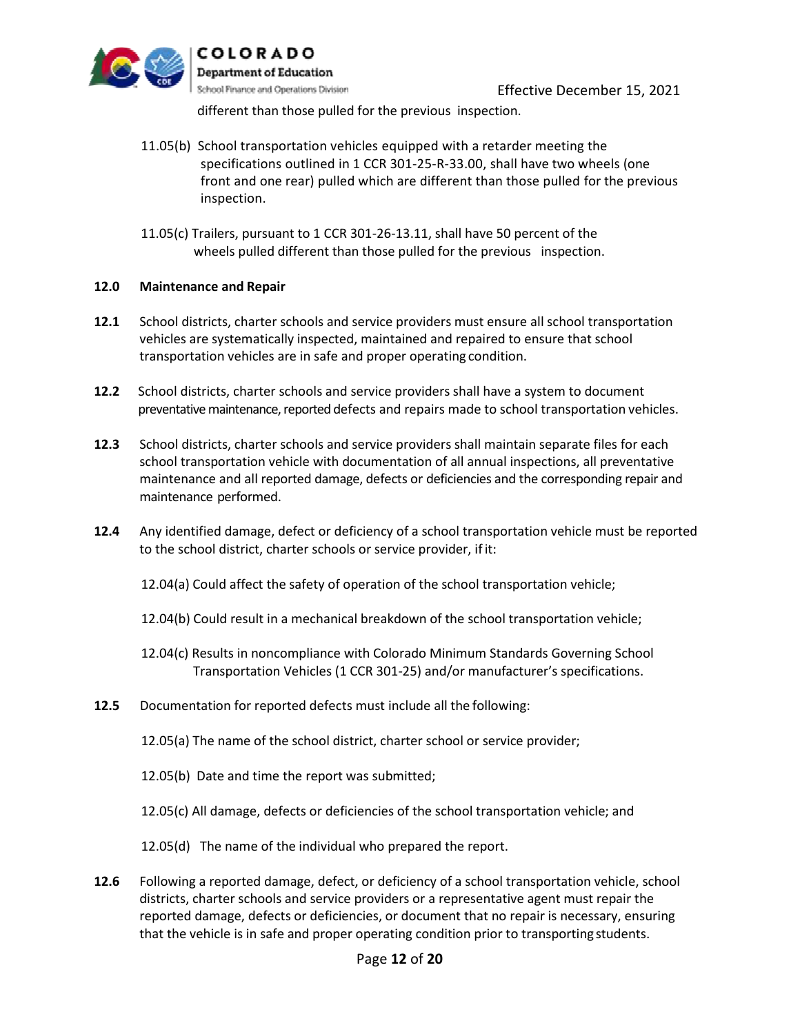

different than those pulled for the previous inspection.

- 11.05(b) School transportation vehicles equipped with a retarder meeting the specifications outlined in 1 CCR 301-25-R-33.00, shall have two wheels (one front and one rear) pulled which are different than those pulled for the previous inspection.
- 11.05(c) Trailers, pursuant to 1 CCR 301-26-13.11, shall have 50 percent of the wheels pulled different than those pulled for the previous inspection.

#### **12.0 Maintenance and Repair**

- **12.1** School districts, charter schools and service providers must ensure all school transportation vehicles are systematically inspected, maintained and repaired to ensure that school transportation vehicles are in safe and proper operating condition.
- **12.2** School districts, charter schools and service providers shall have a system to document preventative maintenance, reported defects and repairs made to school transportation vehicles.
- **12.3** School districts, charter schools and service providers shall maintain separate files for each school transportation vehicle with documentation of all annual inspections, all preventative maintenance and all reported damage, defects or deficiencies and the corresponding repair and maintenance performed.
- **12.4** Any identified damage, defect or deficiency of a school transportation vehicle must be reported to the school district, charter schools or service provider, ifit:
	- 12.04(a) Could affect the safety of operation of the school transportation vehicle;
	- 12.04(b) Could result in a mechanical breakdown of the school transportation vehicle;
	- 12.04(c) Results in noncompliance with Colorado Minimum Standards Governing School Transportation Vehicles (1 CCR 301-25) and/or manufacturer's specifications.
- **12.5** Documentation for reported defects must include all the following:
	- 12.05(a) The name of the school district, charter school or service provider;
	- 12.05(b) Date and time the report was submitted;
	- 12.05(c) All damage, defects or deficiencies of the school transportation vehicle; and
	- 12.05(d) The name of the individual who prepared the report.
- **12.6** Following a reported damage, defect, or deficiency of a school transportation vehicle, school districts, charter schools and service providers or a representative agent must repair the reported damage, defects or deficiencies, or document that no repair is necessary, ensuring that the vehicle is in safe and proper operating condition prior to transporting students.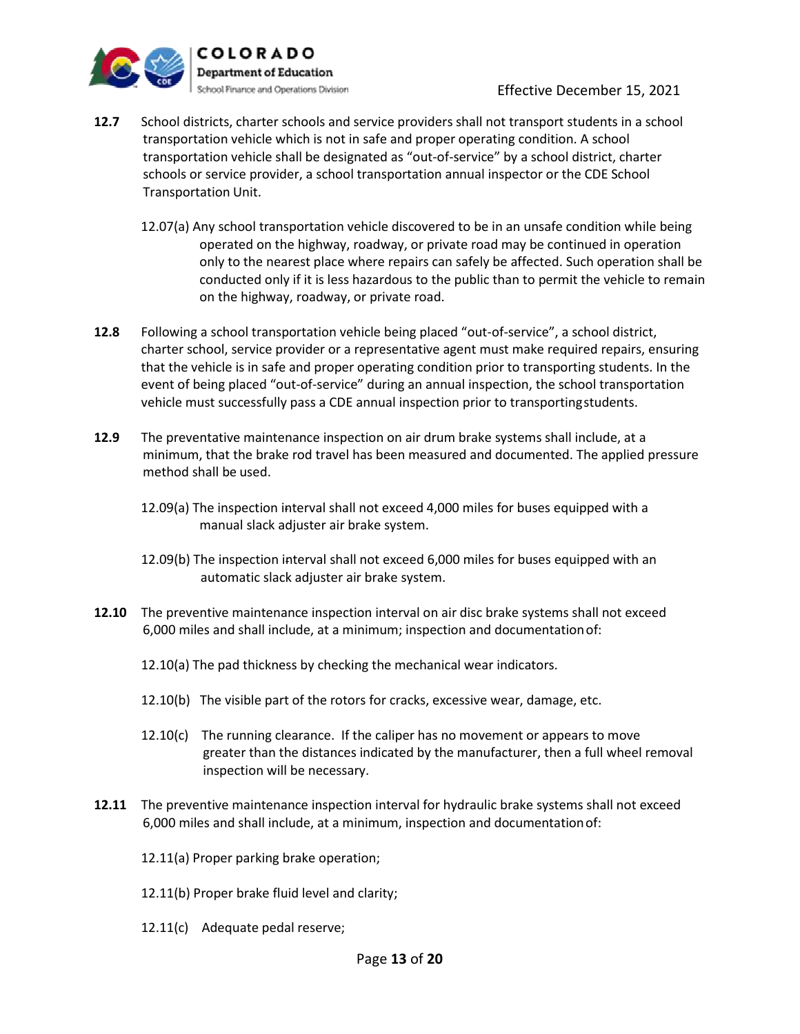

- **12.7** School districts, charter schools and service providers shall not transport students in a school transportation vehicle which is not in safe and proper operating condition. A school transportation vehicle shall be designated as "out-of-service" by a school district, charter schools or service provider, a school transportation annual inspector or the CDE School Transportation Unit.
	- 12.07(a) Any school transportation vehicle discovered to be in an unsafe condition while being operated on the highway, roadway, or private road may be continued in operation only to the nearest place where repairs can safely be affected. Such operation shall be conducted only if it is less hazardous to the public than to permit the vehicle to remain on the highway, roadway, or private road.
- **12.8** Following a school transportation vehicle being placed "out-of-service", a school district, charter school, service provider or a representative agent must make required repairs, ensuring that the vehicle is in safe and proper operating condition prior to transporting students. In the event of being placed "out-of-service" during an annual inspection, the school transportation vehicle must successfully pass a CDE annual inspection prior to transportingstudents.
- **12.9** The preventative maintenance inspection on air drum brake systems shall include, at a minimum, that the brake rod travel has been measured and documented. The applied pressure method shall be used.
	- 12.09(a) The inspection interval shall not exceed 4,000 miles for buses equipped with a manual slack adjuster air brake system.
	- 12.09(b) The inspection interval shall not exceed 6,000 miles for buses equipped with an automatic slack adjuster air brake system.
- **12.10** The preventive maintenance inspection interval on air disc brake systems shall not exceed 6,000 miles and shall include, at a minimum; inspection and documentationof:
	- 12.10(a) The pad thickness by checking the mechanical wear indicators.
	- 12.10(b) The visible part of the rotors for cracks, excessive wear, damage, etc.
	- 12.10(c) The running clearance. If the caliper has no movement or appears to move greater than the distances indicated by the manufacturer, then a full wheel removal inspection will be necessary.
- **12.11** The preventive maintenance inspection interval for hydraulic brake systems shall not exceed 6,000 miles and shall include, at a minimum, inspection and documentationof:
	- 12.11(a) Proper parking brake operation;
	- 12.11(b) Proper brake fluid level and clarity;
	- 12.11(c) Adequate pedal reserve;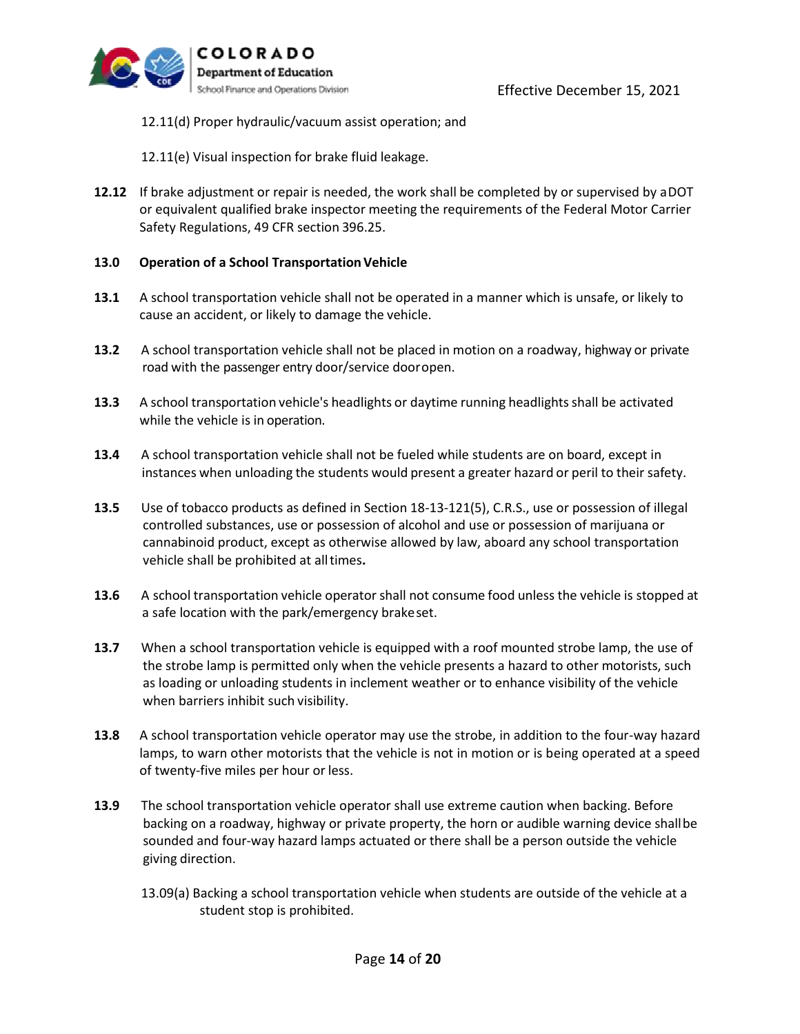

- 12.11(d) Proper hydraulic/vacuum assist operation; and
- 12.11(e) Visual inspection for brake fluid leakage.
- **12.12** If brake adjustment or repair is needed, the work shall be completed by or supervised by aDOT or equivalent qualified brake inspector meeting the requirements of the Federal Motor Carrier Safety Regulations, 49 CFR section 396.25.

#### **13.0 • Operation of a School Transportation Vehicle**

- **13.1** A school transportation vehicle shall not be operated in a manner which is unsafe, or likely to cause an accident, or likely to damage the vehicle.
- **13.2** A school transportation vehicle shall not be placed in motion on a roadway, highway or private road with the passenger entry door/service dooropen.
- **13.3** A school transportation vehicle's headlights or daytime running headlights shall be activated while the vehicle is in operation.
- **13.4** A school transportation vehicle shall not be fueled while students are on board, except in instances when unloading the students would present a greater hazard or peril to their safety.
- **13.5** Use of tobacco products as defined in Section 18-13-121(5), C.R.S., use or possession of illegal controlled substances, use or possession of alcohol and use or possession of marijuana or cannabinoid product, except as otherwise allowed by law, aboard any school transportation vehicle shall be prohibited at alltimes**.**
- **13.6** A school transportation vehicle operator shall not consume food unless the vehicle is stopped at a safe location with the park/emergency brakeset.
- **13.7** When a school transportation vehicle is equipped with a roof mounted strobe lamp, the use of the strobe lamp is permitted only when the vehicle presents a hazard to other motorists, such as loading or unloading students in inclement weather or to enhance visibility of the vehicle when barriers inhibit such visibility.
- **13.8** A school transportation vehicle operator may use the strobe, in addition to the four-way hazard lamps, to warn other motorists that the vehicle is not in motion or is being operated at a speed of twenty-five miles per hour or less.
- **13.9** The school transportation vehicle operator shall use extreme caution when backing. Before backing on a roadway, highway or private property, the horn or audible warning device shallbe sounded and four-way hazard lamps actuated or there shall be a person outside the vehicle giving direction.
	- 13.09(a) Backing a school transportation vehicle when students are outside of the vehicle at a student stop is prohibited.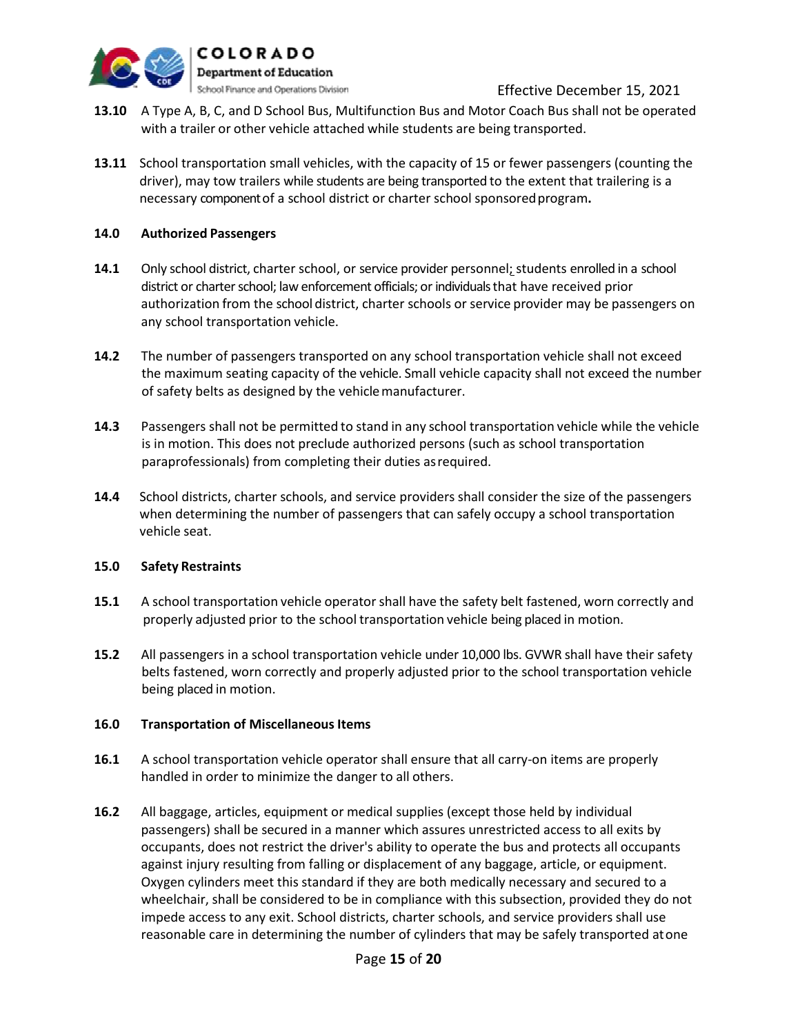

- **13.10** A Type A, B, C, and D School Bus, Multifunction Bus and Motor Coach Bus shall not be operated with a trailer or other vehicle attached while students are being transported.
- **13.11** School transportation small vehicles, with the capacity of 15 or fewer passengers (counting the driver), may tow trailers while students are being transported to the extent that trailering is a necessary component of a school district or charter school sponsoredprogram**.**

## **14.0 Authorized Passengers**

- **14.1** Only school district, charter school, or service provider personnel; students enrolled in a school district or charter school; law enforcement officials; or individuals that have received prior authorization from the school district, charter schools or service provider may be passengers on any school transportation vehicle.
- **14.2** The number of passengers transported on any school transportation vehicle shall not exceed the maximum seating capacity of the vehicle. Small vehicle capacity shall not exceed the number of safety belts as designed by the vehiclemanufacturer.
- **14.3** Passengers shall not be permitted to stand in any school transportation vehicle while the vehicle is in motion. This does not preclude authorized persons (such as school transportation paraprofessionals) from completing their duties asrequired.
- **14.4** School districts, charter schools, and service providers shall consider the size of the passengers when determining the number of passengers that can safely occupy a school transportation vehicle seat.

## **15.0 Safety Restraints**

- **15.1** A school transportation vehicle operator shall have the safety belt fastened, worn correctly and properly adjusted prior to the school transportation vehicle being placed in motion.
- **15.2** All passengers in a school transportation vehicle under 10,000 lbs. GVWR shall have their safety belts fastened, worn correctly and properly adjusted prior to the school transportation vehicle being placed in motion.

## **16.0 Transportation of Miscellaneous Items**

- **16.1** A school transportation vehicle operator shall ensure that all carry-on items are properly handled in order to minimize the danger to all others.
- **16.2** All baggage, articles, equipment or medical supplies (except those held by individual passengers) shall be secured in a manner which assures unrestricted access to all exits by occupants, does not restrict the driver's ability to operate the bus and protects all occupants against injury resulting from falling or displacement of any baggage, article, or equipment. Oxygen cylinders meet this standard if they are both medically necessary and secured to a wheelchair, shall be considered to be in compliance with this subsection, provided they do not impede access to any exit. School districts, charter schools, and service providers shall use reasonable care in determining the number of cylinders that may be safely transported atone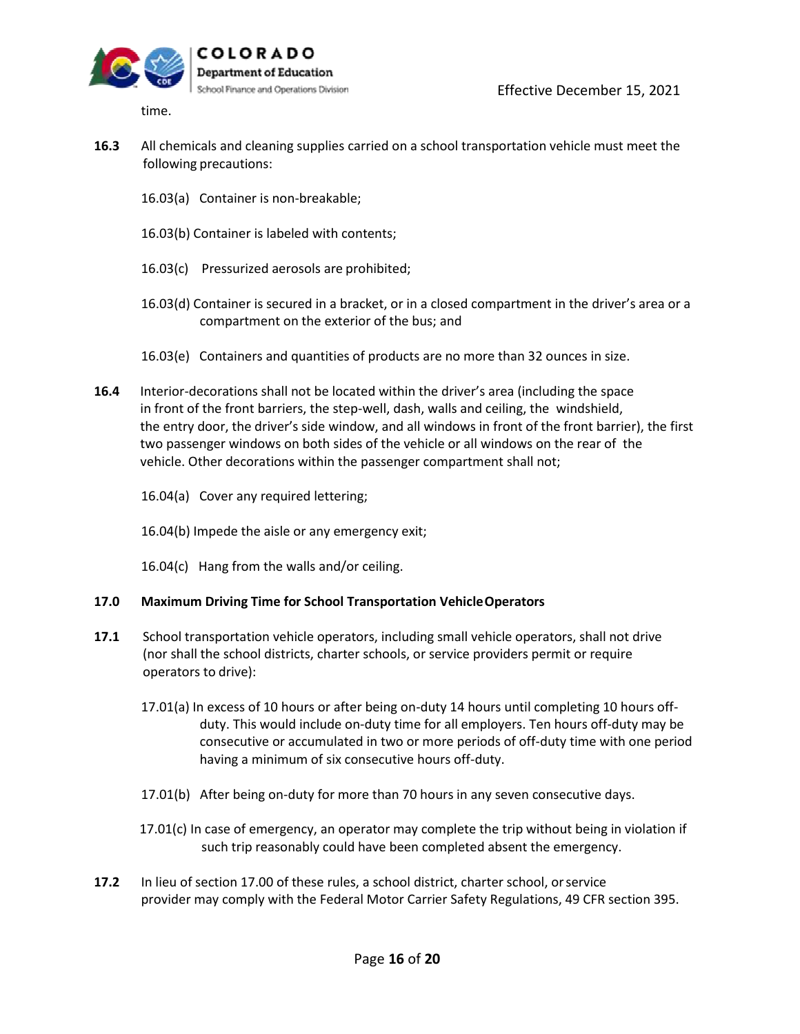

time.

- **16.3** All chemicals and cleaning supplies carried on a school transportation vehicle must meet the following precautions:
	- 16.03(a) Container is non-breakable;
	- 16.03(b) Container is labeled with contents;
	- 16.03(c) Pressurized aerosols are prohibited;
	- 16.03(d) Container is secured in a bracket, or in a closed compartment in the driver's area or a compartment on the exterior of the bus; and
	- 16.03(e) Containers and quantities of products are no more than 32 ounces in size.
- **16.4** Interior-decorations shall not be located within the driver's area (including the space in front of the front barriers, the step-well, dash, walls and ceiling, the windshield, the entry door, the driver's side window, and all windows in front of the front barrier), the first two passenger windows on both sides of the vehicle or all windows on the rear of the vehicle. Other decorations within the passenger compartment shall not;
	- 16.04(a) Cover any required lettering;
	- 16.04(b) Impede the aisle or any emergency exit;
	- 16.04(c) Hang from the walls and/or ceiling.

## **17.0 Maximum Driving Time for School Transportation VehicleOperators**

- **17.1** School transportation vehicle operators, including small vehicle operators, shall not drive (nor shall the school districts, charter schools, or service providers permit or require operators to drive):
	- 17.01(a) In excess of 10 hours or after being on-duty 14 hours until completing 10 hours offduty. This would include on-duty time for all employers. Ten hours off-duty may be consecutive or accumulated in two or more periods of off-duty time with one period having a minimum of six consecutive hours off-duty.
	- 17.01(b) After being on-duty for more than 70 hours in any seven consecutive days.
	- 17.01(c) In case of emergency, an operator may complete the trip without being in violation if such trip reasonably could have been completed absent the emergency.
- **17.2** In lieu of section 17.00 of these rules, a school district, charter school, orservice provider may comply with the Federal Motor Carrier Safety Regulations, 49 CFR section 395.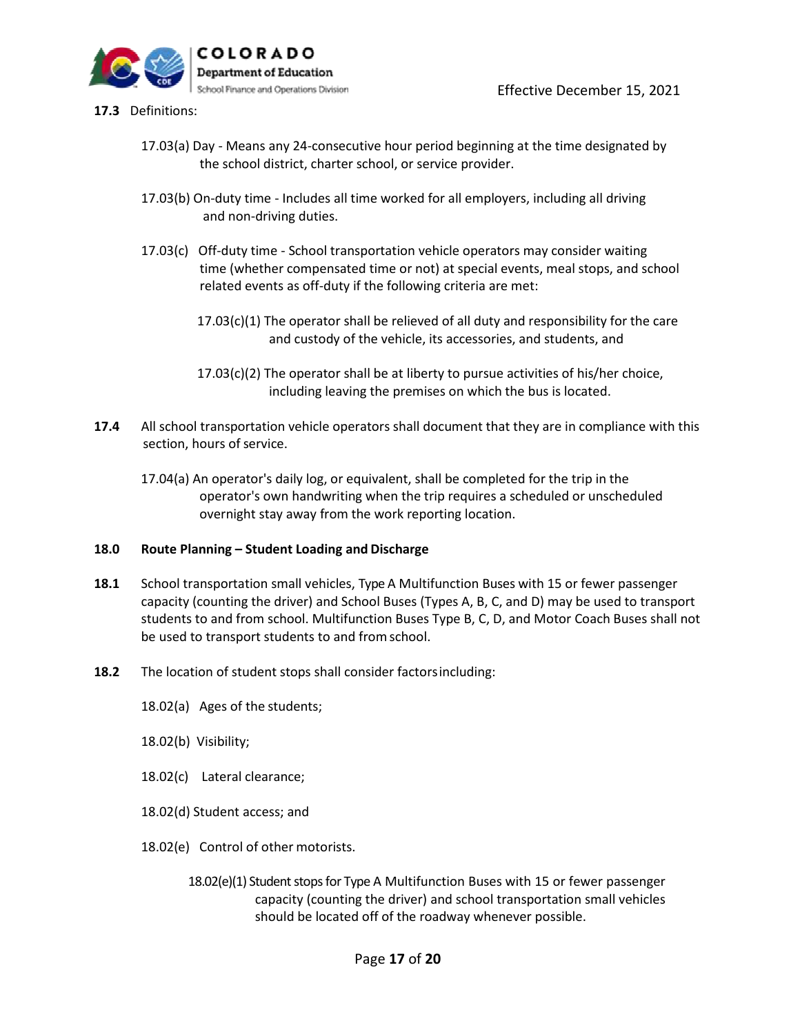

- **17.3** Definitions:
	- 17.03(a) Day Means any 24-consecutive hour period beginning at the time designated by the school district, charter school, or service provider.
	- 17.03(b) On-duty time Includes all time worked for all employers, including all driving and non-driving duties.
	- 17.03(c) Off-duty time School transportation vehicle operators may consider waiting time (whether compensated time or not) at special events, meal stops, and school related events as off-duty if the following criteria are met:
		- 17.03(c)(1) The operator shall be relieved of all duty and responsibility for the care and custody of the vehicle, its accessories, and students, and
		- 17.03(c)(2) The operator shall be at liberty to pursue activities of his/her choice, including leaving the premises on which the bus is located.
- **17.4** All school transportation vehicle operators shall document that they are in compliance with this section, hours of service.
	- 17.04(a) An operator's daily log, or equivalent, shall be completed for the trip in the operator's own handwriting when the trip requires a scheduled or unscheduled overnight stay away from the work reporting location.

## **18.0 Route Planning – Student Loading and Discharge**

- **18.1** School transportation small vehicles, Type A Multifunction Buses with 15 or fewer passenger capacity (counting the driver) and School Buses (Types A, B, C, and D) may be used to transport students to and from school. Multifunction Buses Type B, C, D, and Motor Coach Buses shall not be used to transport students to and fromschool.
- **18.2** The location of student stops shall consider factorsincluding:
	- 18.02(a) Ages of the students;
	- 18.02(b) Visibility;
	- 18.02(c) Lateral clearance;
	- 18.02(d) Student access; and
	- 18.02(e) Control of other motorists.
		- 18.02(e)(1) Student stops for Type A Multifunction Buses with 15 or fewer passenger capacity (counting the driver) and school transportation small vehicles should be located off of the roadway whenever possible.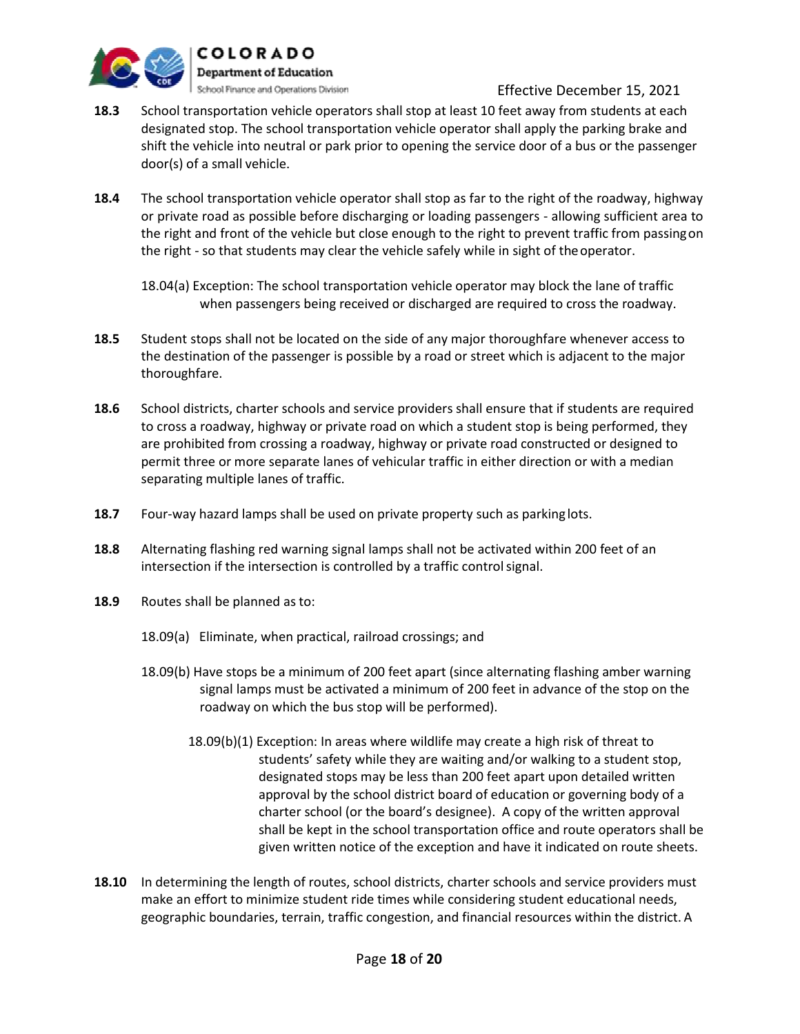

- **18.3** School transportation vehicle operators shall stop at least 10 feet away from students at each designated stop. The school transportation vehicle operator shall apply the parking brake and shift the vehicle into neutral or park prior to opening the service door of a bus or the passenger door(s) of a small vehicle.
- **18.4** The school transportation vehicle operator shall stop as far to the right of the roadway, highway or private road as possible before discharging or loading passengers - allowing sufficient area to the right and front of the vehicle but close enough to the right to prevent traffic from passingon the right - so that students may clear the vehicle safely while in sight of theoperator.

- **18.5** Student stops shall not be located on the side of any major thoroughfare whenever access to the destination of the passenger is possible by a road or street which is adjacent to the major thoroughfare.
- **18.6** School districts, charter schools and service providers shall ensure that if students are required to cross a roadway, highway or private road on which a student stop is being performed, they are prohibited from crossing a roadway, highway or private road constructed or designed to permit three or more separate lanes of vehicular traffic in either direction or with a median separating multiple lanes of traffic.
- **18.7** Four-way hazard lamps shall be used on private property such as parking lots.
- **18.8** Alternating flashing red warning signal lamps shall not be activated within 200 feet of an intersection if the intersection is controlled by a traffic control signal.
- **18.9** Routes shall be planned as to:
	- 18.09(a) Eliminate, when practical, railroad crossings; and
	- 18.09(b) Have stops be a minimum of 200 feet apart (since alternating flashing amber warning signal lamps must be activated a minimum of 200 feet in advance of the stop on the roadway on which the bus stop will be performed).
		- 18.09(b)(1) Exception: In areas where wildlife may create a high risk of threat to students' safety while they are waiting and/or walking to a student stop, designated stops may be less than 200 feet apart upon detailed written approval by the school district board of education or governing body of a charter school (or the board's designee). A copy of the written approval shall be kept in the school transportation office and route operators shall be given written notice of the exception and have it indicated on route sheets.
- **18.10** In determining the length of routes, school districts, charter schools and service providers must make an effort to minimize student ride times while considering student educational needs, geographic boundaries, terrain, traffic congestion, and financial resources within the district. A

<sup>18.04(</sup>a) Exception: The school transportation vehicle operator may block the lane of traffic when passengers being received or discharged are required to cross the roadway.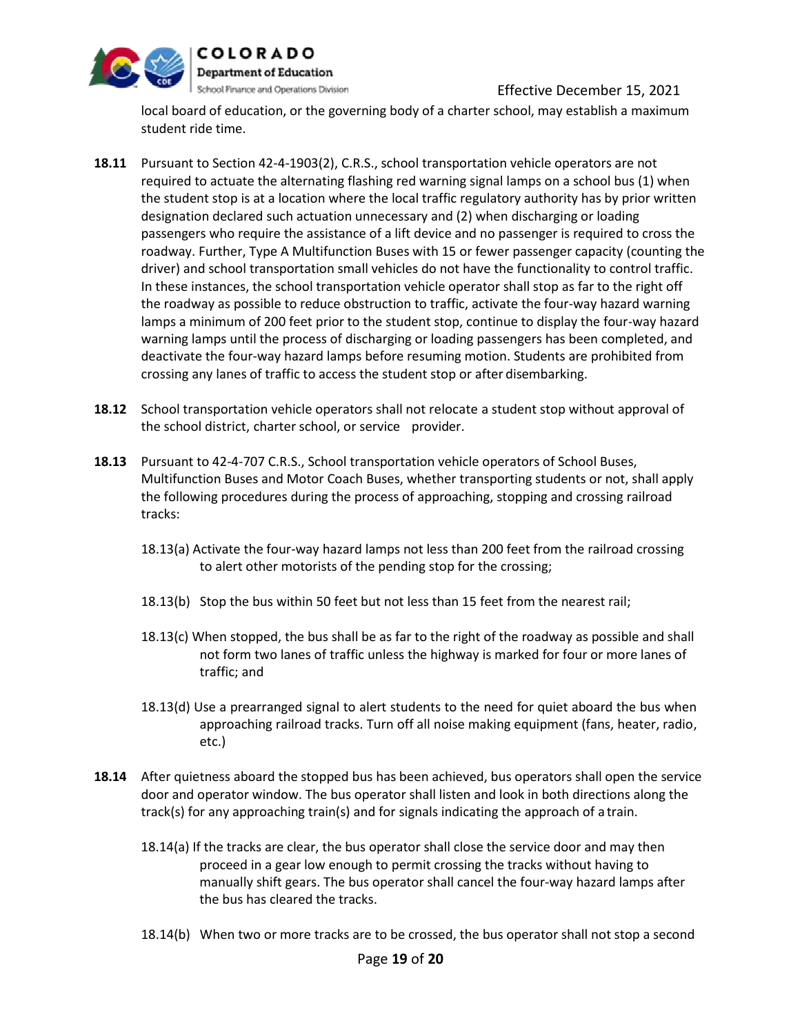

local board of education, or the governing body of a charter school, may establish a maximum student ride time.

- **18.11** Pursuant to Section 42-4-1903(2), C.R.S., school transportation vehicle operators are not required to actuate the alternating flashing red warning signal lamps on a school bus (1) when the student stop is at a location where the local traffic regulatory authority has by prior written designation declared such actuation unnecessary and (2) when discharging or loading passengers who require the assistance of a lift device and no passenger is required to cross the roadway. Further, Type A Multifunction Buses with 15 or fewer passenger capacity (counting the driver) and school transportation small vehicles do not have the functionality to control traffic. In these instances, the school transportation vehicle operator shall stop as far to the right off the roadway as possible to reduce obstruction to traffic, activate the four-way hazard warning lamps a minimum of 200 feet prior to the student stop, continue to display the four-way hazard warning lamps until the process of discharging or loading passengers has been completed, and deactivate the four-way hazard lamps before resuming motion. Students are prohibited from crossing any lanes of traffic to access the student stop or after disembarking.
- **18.12** School transportation vehicle operators shall not relocate a student stop without approval of the school district, charter school, or service provider.
- **18.13** Pursuant to 42-4-707 C.R.S., School transportation vehicle operators of School Buses, Multifunction Buses and Motor Coach Buses, whether transporting students or not, shall apply the following procedures during the process of approaching, stopping and crossing railroad tracks:
	- 18.13(a) Activate the four-way hazard lamps not less than 200 feet from the railroad crossing to alert other motorists of the pending stop for the crossing;
	- 18.13(b) Stop the bus within 50 feet but not less than 15 feet from the nearest rail;
	- 18.13(c) When stopped, the bus shall be as far to the right of the roadway as possible and shall not form two lanes of traffic unless the highway is marked for four or more lanes of traffic; and
	- 18.13(d) Use a prearranged signal to alert students to the need for quiet aboard the bus when approaching railroad tracks. Turn off all noise making equipment (fans, heater, radio, etc.)
- **18.14** After quietness aboard the stopped bus has been achieved, bus operators shall open the service door and operator window. The bus operator shall listen and look in both directions along the track(s) for any approaching train(s) and for signals indicating the approach of a train.
	- 18.14(a) If the tracks are clear, the bus operator shall close the service door and may then proceed in a gear low enough to permit crossing the tracks without having to manually shift gears. The bus operator shall cancel the four-way hazard lamps after the bus has cleared the tracks.
	- 18.14(b) When two or more tracks are to be crossed, the bus operator shall not stop a second